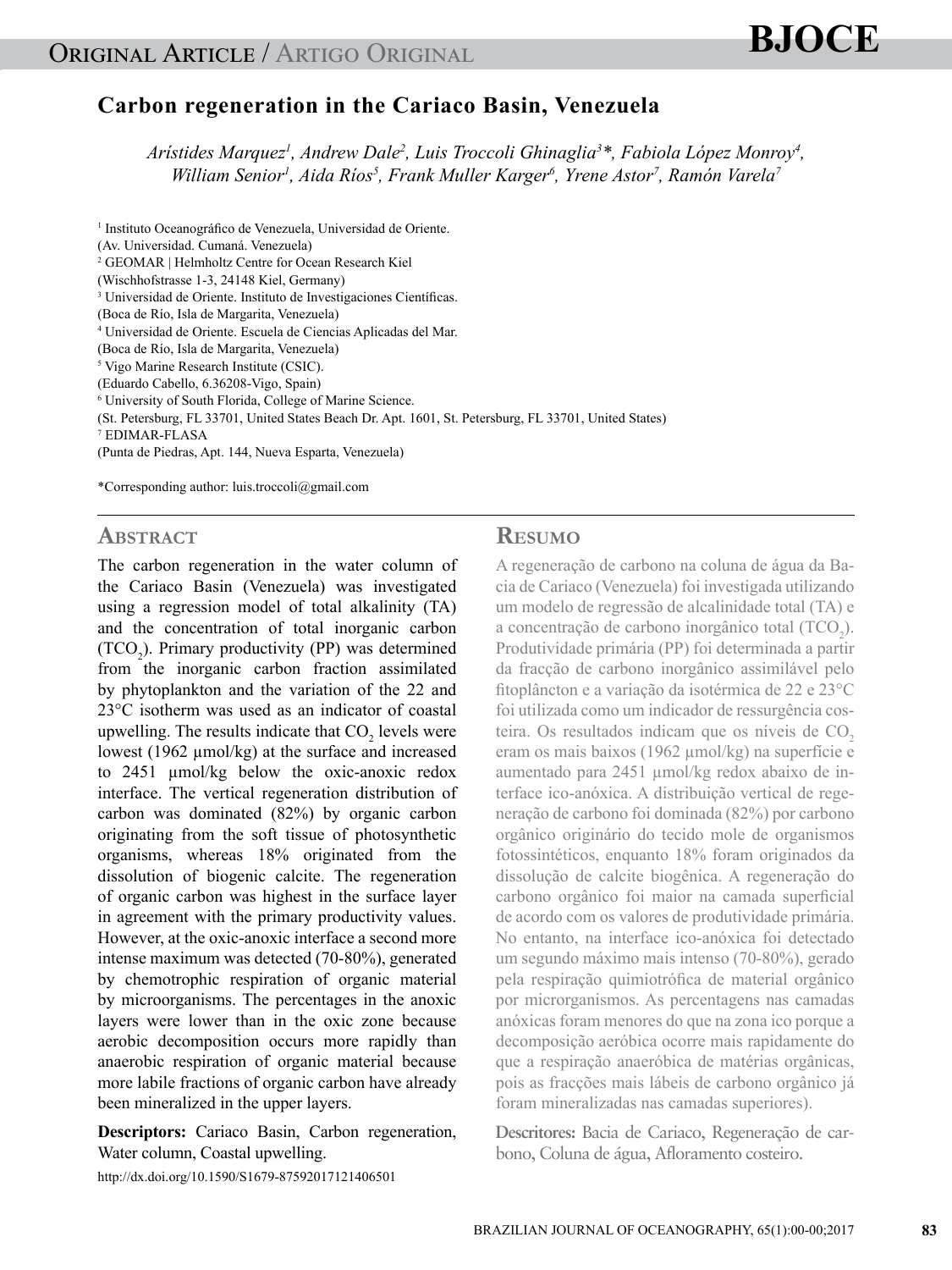# **BJOCE**

# **Carbon regeneration in the Cariaco Basin, Venezuela**

*Arístides Marquez1 , Andrew Dale2 , Luis Troccoli Ghinaglia3 \*, Fabiola López Monroy4 , William Senior<sup>1</sup>, Aida Ríos<sup>5</sup>, Frank Muller Karger<sup>6</sup>, Yrene Astor<sup>7</sup>, Ramón Varela<sup>7</sup>* 

1 Instituto Oceanográfico de Venezuela, Universidad de Oriente. (Av. Universidad. Cumaná. Venezuela) 2 GEOMAR | Helmholtz Centre for Ocean Research Kiel (Wischhofstrasse 1-3, 24148 Kiel, Germany) 3 Universidad de Oriente. Instituto de Investigaciones Científicas. (Boca de Río, Isla de Margarita, Venezuela) 4 Universidad de Oriente. Escuela de Ciencias Aplicadas del Mar. (Boca de Río, Isla de Margarita, Venezuela) 5 Vigo Marine Research Institute (CSIC). (Eduardo Cabello, 6.36208-Vigo, Spain) 6 University of South Florida, College of Marine Science. (St. Petersburg, FL 33701, United States Beach Dr. Apt. 1601, St. Petersburg, FL 33701, United States) 7 EDIMAR-FLASA (Punta de Piedras, Apt. 144, Nueva Esparta, Venezuela) \*Corresponding author: luis.troccoli@gmail.com

# **ABSTRACT**

The carbon regeneration in the water column of the Cariaco Basin (Venezuela) was investigated using a regression model of total alkalinity (TA) and the concentration of total inorganic carbon  $(TCO<sub>2</sub>)$ . Primary productivity (PP) was determined from the inorganic carbon fraction assimilated by phytoplankton and the variation of the 22 and 23°C isotherm was used as an indicator of coastal upwelling. The results indicate that  $CO_2$  levels were lowest (1962 μmol/kg) at the surface and increased to 2451 µmol/kg below the oxic-anoxic redox interface. The vertical regeneration distribution of carbon was dominated (82%) by organic carbon originating from the soft tissue of photosynthetic organisms, whereas 18% originated from the dissolution of biogenic calcite. The regeneration of organic carbon was highest in the surface layer in agreement with the primary productivity values. However, at the oxic-anoxic interface a second more intense maximum was detected (70-80%), generated by chemotrophic respiration of organic material by microorganisms. The percentages in the anoxic layers were lower than in the oxic zone because aerobic decomposition occurs more rapidly than anaerobic respiration of organic material because more labile fractions of organic carbon have already been mineralized in the upper layers.

**Descriptors:** Cariaco Basin, Carbon regeneration, Water column, Coastal upwelling.

http://dx.doi.org/10.1590/S1679-87592017121406501

# **Resumo**

A regeneração de carbono na coluna de água da Bacia de Cariaco (Venezuela) foi investigada utilizando um modelo de regressão de alcalinidade total (TA) e a concentração de carbono inorgânico total  $(TCO<sub>2</sub>)$ . Produtividade primária (PP) foi determinada a partir da fracção de carbono inorgânico assimilável pelo fitoplâncton e a variação da isotérmica de 22 e 23°C foi utilizada como um indicador de ressurgência costeira. Os resultados indicam que os níveis de CO<sub>2</sub> eram os mais baixos (1962 µmol/kg) na superfície e aumentado para 2451 µmol/kg redox abaixo de interface ico-anóxica. A distribuição vertical de regeneração de carbono foi dominada (82%) por carbono orgânico originário do tecido mole de organismos fotossintéticos, enquanto 18% foram originados da dissolução de calcite biogênica. A regeneração do carbono orgânico foi maior na camada superficial de acordo com os valores de produtividade primária. No entanto, na interface ico-anóxica foi detectado um segundo máximo mais intenso (70-80%), gerado pela respiração quimiotrófica de material orgânico por microrganismos. As percentagens nas camadas anóxicas foram menores do que na zona ico porque a decomposição aeróbica ocorre mais rapidamente do que a respiração anaeróbica de matérias orgânicas, pois as fracções mais lábeis de carbono orgânico já foram mineralizadas nas camadas superiores).

**Descritores:** Bacia de Cariaco, Regeneração de carbono, Coluna de água, Afloramento costeiro.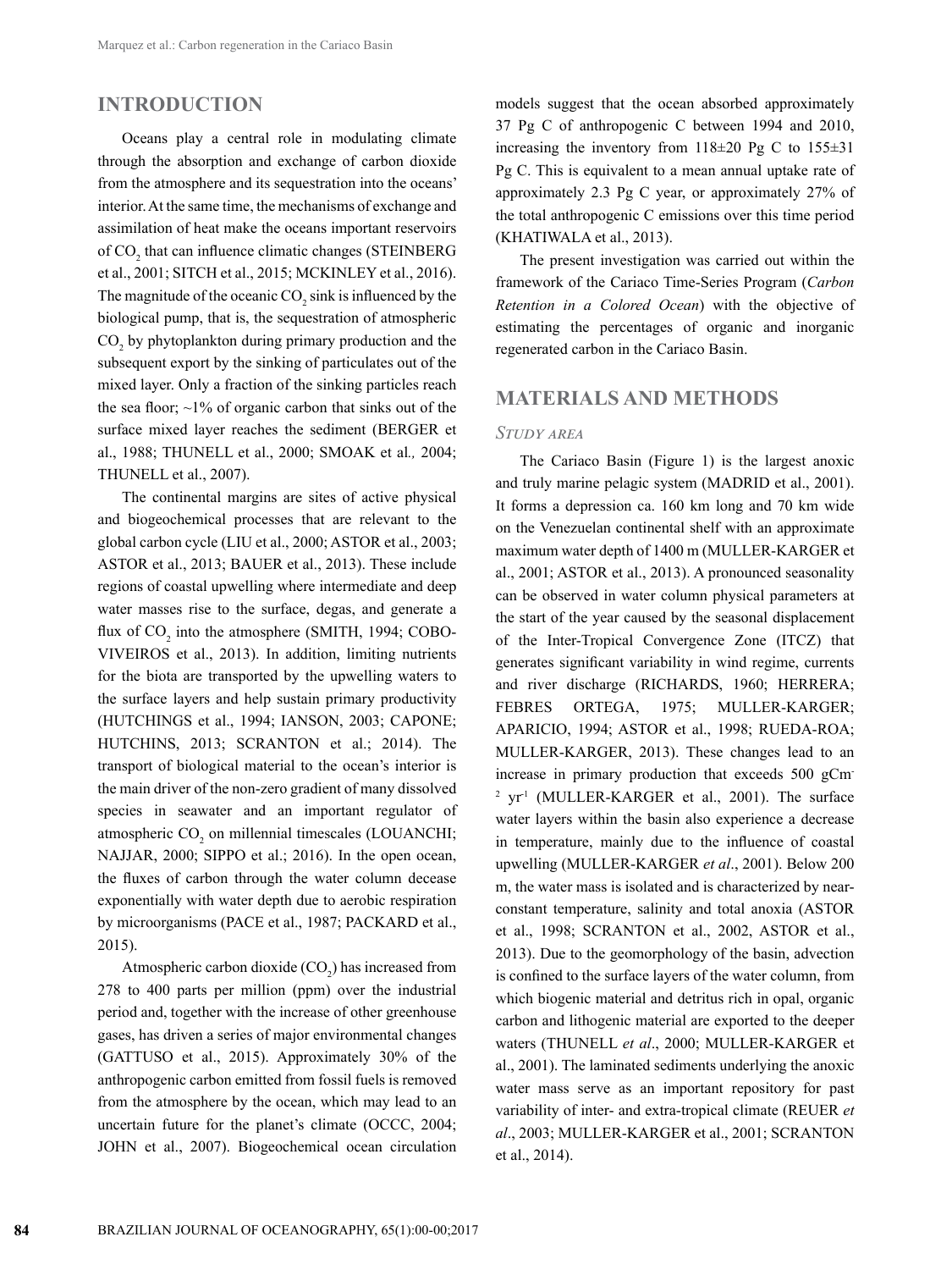# **INTRODUCTION**

Oceans play a central role in modulating climate through the absorption and exchange of carbon dioxide from the atmosphere and its sequestration into the oceans' interior. At the same time, the mechanisms of exchange and assimilation of heat make the oceans important reservoirs of  $CO_2$  that can influence climatic changes (STEINBERG et al., 2001; SITCH et al., 2015; MCKINLEY et al., 2016). The magnitude of the oceanic  $CO_2$  sink is influenced by the biological pump, that is, the sequestration of atmospheric  $CO<sub>2</sub>$  by phytoplankton during primary production and the subsequent export by the sinking of particulates out of the mixed layer. Only a fraction of the sinking particles reach the sea floor;  $\sim$ 1% of organic carbon that sinks out of the surface mixed layer reaches the sediment (BERGER et al., 1988; THUNELL et al., 2000; SMOAK et al*.,* 2004; THUNELL et al., 2007).

The continental margins are sites of active physical and biogeochemical processes that are relevant to the global carbon cycle (LIU et al., 2000; ASTOR et al., 2003; ASTOR et al., 2013; BAUER et al., 2013). These include regions of coastal upwelling where intermediate and deep water masses rise to the surface, degas, and generate a flux of  $\mathrm{CO}_2$  into the atmosphere (SMITH, 1994; COBO-VIVEIROS et al., 2013). In addition, limiting nutrients for the biota are transported by the upwelling waters to the surface layers and help sustain primary productivity (HUTCHINGS et al., 1994; IANSON, 2003; CAPONE; HUTCHINS, 2013; SCRANTON et al.; 2014). The transport of biological material to the ocean's interior is the main driver of the non-zero gradient of many dissolved species in seawater and an important regulator of atmospheric  $CO_2$  on millennial timescales (LOUANCHI; NAJJAR, 2000; SIPPO et al.; 2016). In the open ocean, the fluxes of carbon through the water column decease exponentially with water depth due to aerobic respiration by microorganisms (PACE et al., 1987; PACKARD et al., 2015).

Atmospheric carbon dioxide  $(CO_2)$  has increased from 278 to 400 parts per million (ppm) over the industrial period and, together with the increase of other greenhouse gases, has driven a series of major environmental changes (GATTUSO et al., 2015). Approximately 30% of the anthropogenic carbon emitted from fossil fuels is removed from the atmosphere by the ocean, which may lead to an uncertain future for the planet's climate (OCCC, 2004; JOHN et al., 2007). Biogeochemical ocean circulation

models suggest that the ocean absorbed approximately 37 Pg C of anthropogenic C between 1994 and 2010, increasing the inventory from 118±20 Pg C to 155±31 Pg C. This is equivalent to a mean annual uptake rate of approximately 2.3 Pg C year, or approximately 27% of the total anthropogenic C emissions over this time period (KHATIWALA et al., 2013).

The present investigation was carried out within the framework of the Cariaco Time-Series Program (*Carbon Retention in a Colored Ocean*) with the objective of estimating the percentages of organic and inorganic regenerated carbon in the Cariaco Basin.

# **MATERIALS AND METHODS**

#### *Study area*

The Cariaco Basin (Figure 1) is the largest anoxic and truly marine pelagic system (MADRID et al., 2001). It forms a depression ca. 160 km long and 70 km wide on the Venezuelan continental shelf with an approximate maximum water depth of 1400 m (MULLER-KARGER et al., 2001; ASTOR et al., 2013). A pronounced seasonality can be observed in water column physical parameters at the start of the year caused by the seasonal displacement of the Inter-Tropical Convergence Zone (ITCZ) that generates significant variability in wind regime, currents and river discharge (RICHARDS, 1960; HERRERA; FEBRES ORTEGA, 1975; MULLER-KARGER; APARICIO, 1994; ASTOR et al., 1998; RUEDA-ROA; MULLER-KARGER, 2013). These changes lead to an increase in primary production that exceeds 500 gCm-2 yr-1 (MULLER-KARGER et al., 2001). The surface water layers within the basin also experience a decrease in temperature, mainly due to the influence of coastal upwelling (MULLER-KARGER *et al*., 2001). Below 200 m, the water mass is isolated and is characterized by nearconstant temperature, salinity and total anoxia (ASTOR et al., 1998; SCRANTON et al., 2002, ASTOR et al., 2013). Due to the geomorphology of the basin, advection is confined to the surface layers of the water column, from which biogenic material and detritus rich in opal, organic carbon and lithogenic material are exported to the deeper waters (THUNELL *et al*., 2000; MULLER-KARGER et al., 2001). The laminated sediments underlying the anoxic water mass serve as an important repository for past variability of inter- and extra-tropical climate (REUER *et al*., 2003; MULLER-KARGER et al., 2001; SCRANTON et al., 2014).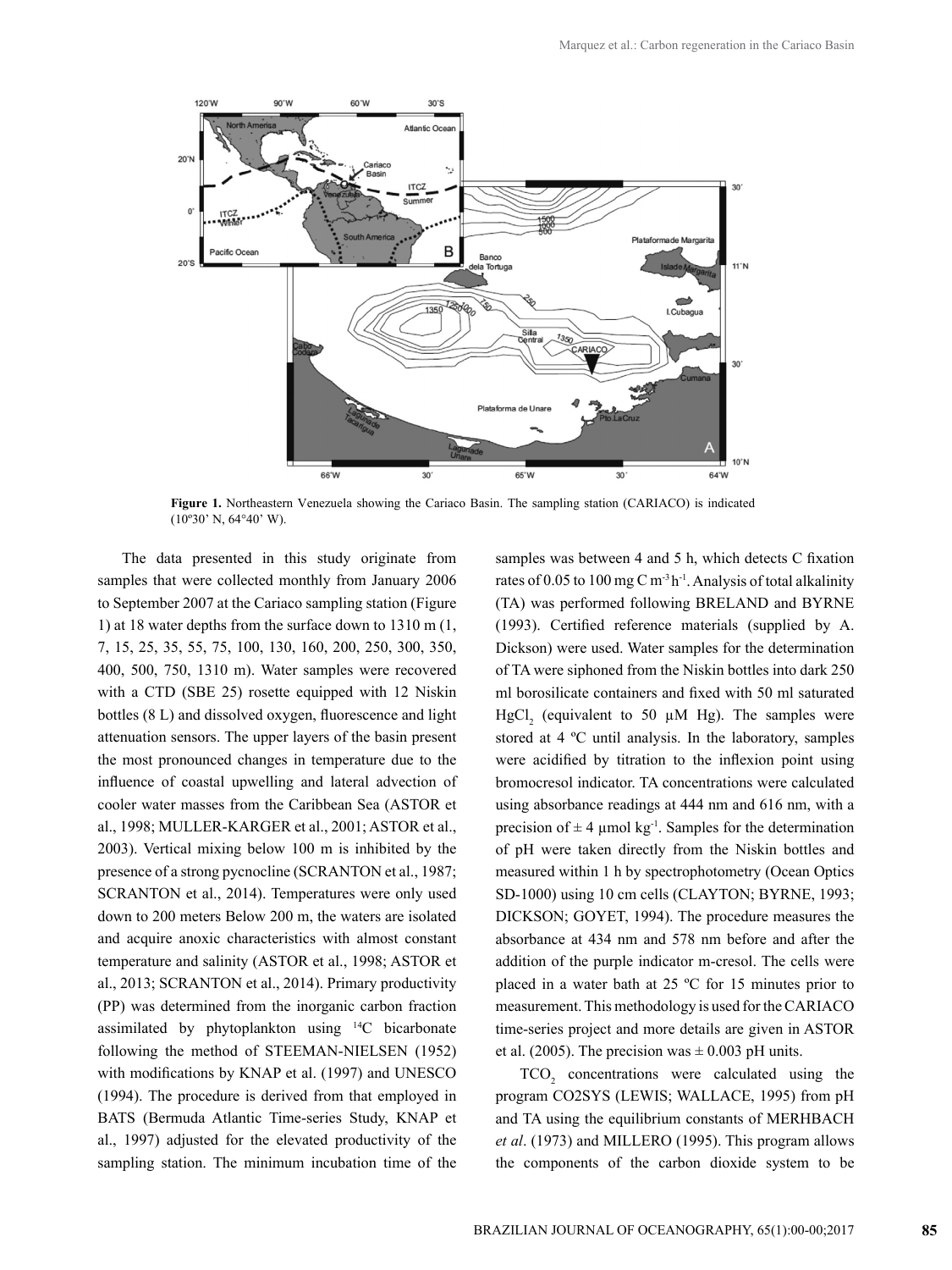

**Figure 1.** Northeastern Venezuela showing the Cariaco Basin. The sampling station (CARIACO) is indicated  $(10°30' N, 64°40' W).$ 

The data presented in this study originate from samples that were collected monthly from January 2006 to September 2007 at the Cariaco sampling station (Figure 1) at 18 water depths from the surface down to 1310 m (1, 7, 15, 25, 35, 55, 75, 100, 130, 160, 200, 250, 300, 350, 400, 500, 750, 1310 m). Water samples were recovered with a CTD (SBE 25) rosette equipped with 12 Niskin bottles (8 L) and dissolved oxygen, fluorescence and light attenuation sensors. The upper layers of the basin present the most pronounced changes in temperature due to the influence of coastal upwelling and lateral advection of cooler water masses from the Caribbean Sea (ASTOR et al., 1998; MULLER-KARGER et al., 2001; ASTOR et al., 2003). Vertical mixing below 100 m is inhibited by the presence of a strong pycnocline (SCRANTON et al., 1987; SCRANTON et al., 2014). Temperatures were only used down to 200 meters Below 200 m, the waters are isolated and acquire anoxic characteristics with almost constant temperature and salinity (ASTOR et al., 1998; ASTOR et al., 2013; SCRANTON et al., 2014). Primary productivity (PP) was determined from the inorganic carbon fraction assimilated by phytoplankton using  $^{14}C$  bicarbonate following the method of STEEMAN-NIELSEN (1952) with modifications by KNAP et al. (1997) and UNESCO (1994). The procedure is derived from that employed in BATS (Bermuda Atlantic Time-series Study, KNAP et al., 1997) adjusted for the elevated productivity of the sampling station. The minimum incubation time of the samples was between 4 and 5 h, which detects C fixation rates of 0.05 to 100 mg C m<sup>-3</sup>h<sup>-1</sup>. Analysis of total alkalinity (TA) was performed following BRELAND and BYRNE (1993). Certified reference materials (supplied by A. Dickson) were used. Water samples for the determination of TA were siphoned from the Niskin bottles into dark 250 ml borosilicate containers and fixed with 50 ml saturated  $HgCl<sub>2</sub>$  (equivalent to 50  $\mu$ M Hg). The samples were stored at 4 ºC until analysis. In the laboratory, samples were acidified by titration to the inflexion point using bromocresol indicator. TA concentrations were calculated using absorbance readings at 444 nm and 616 nm, with a precision of  $\pm 4$  µmol kg<sup>-1</sup>. Samples for the determination of pH were taken directly from the Niskin bottles and measured within 1 h by spectrophotometry (Ocean Optics SD-1000) using 10 cm cells (CLAYTON; BYRNE, 1993; DICKSON; GOYET, 1994). The procedure measures the absorbance at 434 nm and 578 nm before and after the addition of the purple indicator m-cresol. The cells were placed in a water bath at 25 ºC for 15 minutes prior to measurement. This methodology is used for the CARIACO time-series project and more details are given in ASTOR et al. (2005). The precision was  $\pm$  0.003 pH units.

 $TCO<sub>2</sub>$  concentrations were calculated using the program CO2SYS [\(LEWIS](http://cdiac.ornl.gov/oceans/lewis.html); [WALLACE](http://cdiac.ornl.gov/oceans/wallace.html), 1995) from pH and TA using the equilibrium constants of MERHBACH *et al*. (1973) and MILLERO (1995). This program allows the components of the carbon dioxide system to be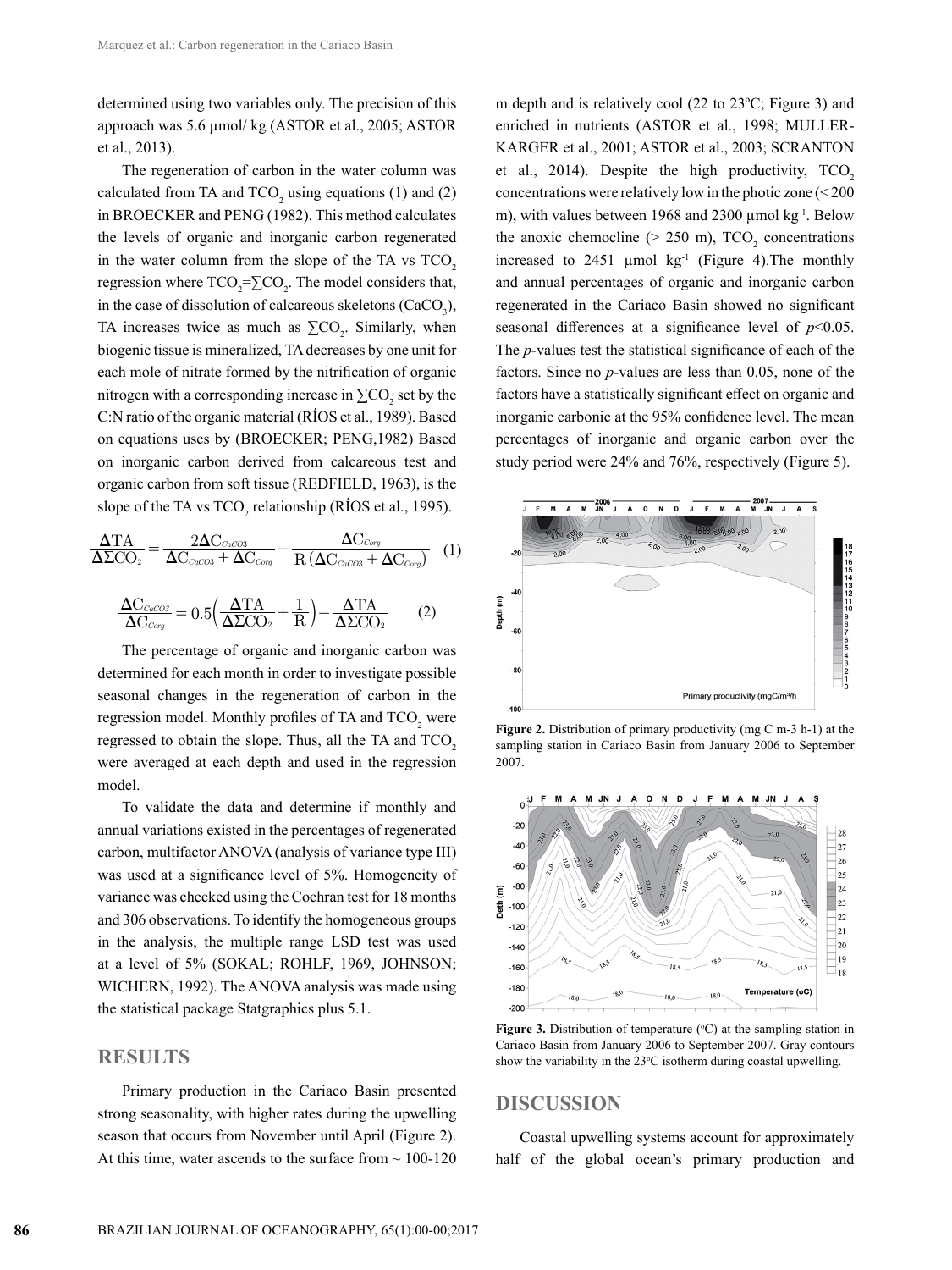determined using two variables only. The precision of this approach was 5.6 µmol/ kg (ASTOR et al., 2005; ASTOR et al., 2013).

The regeneration of carbon in the water column was calculated from TA and  $TCO_2$  using equations (1) and (2) in BROECKER and PENG (1982). This method calculates the levels of organic and inorganic carbon regenerated in the water column from the slope of the TA vs  $TCO<sub>2</sub>$ regression where  $TCO_2 = \sum CO_2$ . The model considers that, in the case of dissolution of calcareous skeletons ( $CaCO<sub>3</sub>$ ), TA increases twice as much as  $\Sigma$ CO<sub>2</sub>. Similarly, when biogenic tissue is mineralized, TA decreases by one unit for each mole of nitrate formed by the nitrification of organic nitrogen with a corresponding increase in  $\sum CO_2$  set by the C:N ratio of the organic material (RÍOS et al., 1989). Based on equations uses by (BROECKER; PENG,1982) Based on inorganic carbon derived from calcareous test and organic carbon from soft tissue (REDFIELD, 1963), is the slope of the TA vs  $TCO_2$  relationship (RIOS et al., 1995).

$$
\frac{\Delta TA}{\Delta ZCO_2} = \frac{2\Delta C_{CaCO3}}{\Delta C_{CaCO3} + \Delta C_{Corg}} - \frac{\Delta C_{Corg}}{R(\Delta C_{CaCO3} + \Delta C_{Corg})} \quad (1)
$$

$$
\frac{\Delta C_{CaCO3}}{\Delta C_{Corg}} = 0.5 \left(\frac{\Delta TA}{\Delta ZCO_2} + \frac{1}{R}\right) - \frac{\Delta TA}{\Delta ZCO_2} \quad (2)
$$

The percentage of organic and inorganic carbon was determined for each month in order to investigate possible seasonal changes in the regeneration of carbon in the regression model. Monthly profiles of TA and  $\mathop{\hbox{TCO}}\nolimits_2$  were regressed to obtain the slope. Thus, all the TA and TCO<sub>2</sub> were averaged at each depth and used in the regression model.

To validate the data and determine if monthly and annual variations existed in the percentages of regenerated carbon, multifactor ANOVA (analysis of variance type III) was used at a significance level of 5%. Homogeneity of variance was checked using the Cochran test for 18 months and 306 observations. To identify the homogeneous groups in the analysis, the multiple range LSD test was used at a level of 5% (SOKAL; ROHLF, 1969, JOHNSON; WICHERN, 1992). The ANOVA analysis was made using the statistical package Statgraphics plus 5.1.

#### **RESULTS**

 $\Delta \rm{C}_{\it{Corg}}$ 

Primary production in the Cariaco Basin presented strong seasonality, with higher rates during the upwelling season that occurs from November until April (Figure 2). At this time, water ascends to the surface from  $\sim 100-120$ 

m depth and is relatively cool (22 to 23ºC; Figure 3) and enriched in nutrients (ASTOR et al., 1998; MULLER-KARGER et al., 2001; ASTOR et al., 2003; SCRANTON et al., 2014). Despite the high productivity,  $TCO<sub>2</sub>$ concentrations were relatively low in the photic zone (< 200 m), with values between 1968 and 2300  $\mu$ mol kg<sup>-1</sup>. Below the anoxic chemocline ( $> 250$  m), TCO<sub>2</sub> concentrations increased to  $2451 \text{ \mu}$  mol kg<sup>-1</sup> (Figure 4). The monthly and annual percentages of organic and inorganic carbon regenerated in the Cariaco Basin showed no significant seasonal differences at a significance level of *p*<0.05. The *p*-values test the statistical significance of each of the factors. Since no *p*-values are less than 0.05, none of the factors have a statistically significant effect on organic and inorganic carbonic at the 95% confidence level. The mean percentages of inorganic and organic carbon over the study period were 24% and 76%, respectively (Figure 5).



**Figure 2.** Distribution of primary productivity (mg C m-3 h-1) at the sampling station in Cariaco Basin from January 2006 to September 2007.



**Figure 3.** Distribution of temperature  $({}^{\circ}C)$  at the sampling station in Cariaco Basin from January 2006 to September 2007. Gray contours show the variability in the  $23^{\circ}$ C isotherm during coastal upwelling.

## **DISCUSSION**

Coastal upwelling systems account for approximately half of the global ocean's primary production and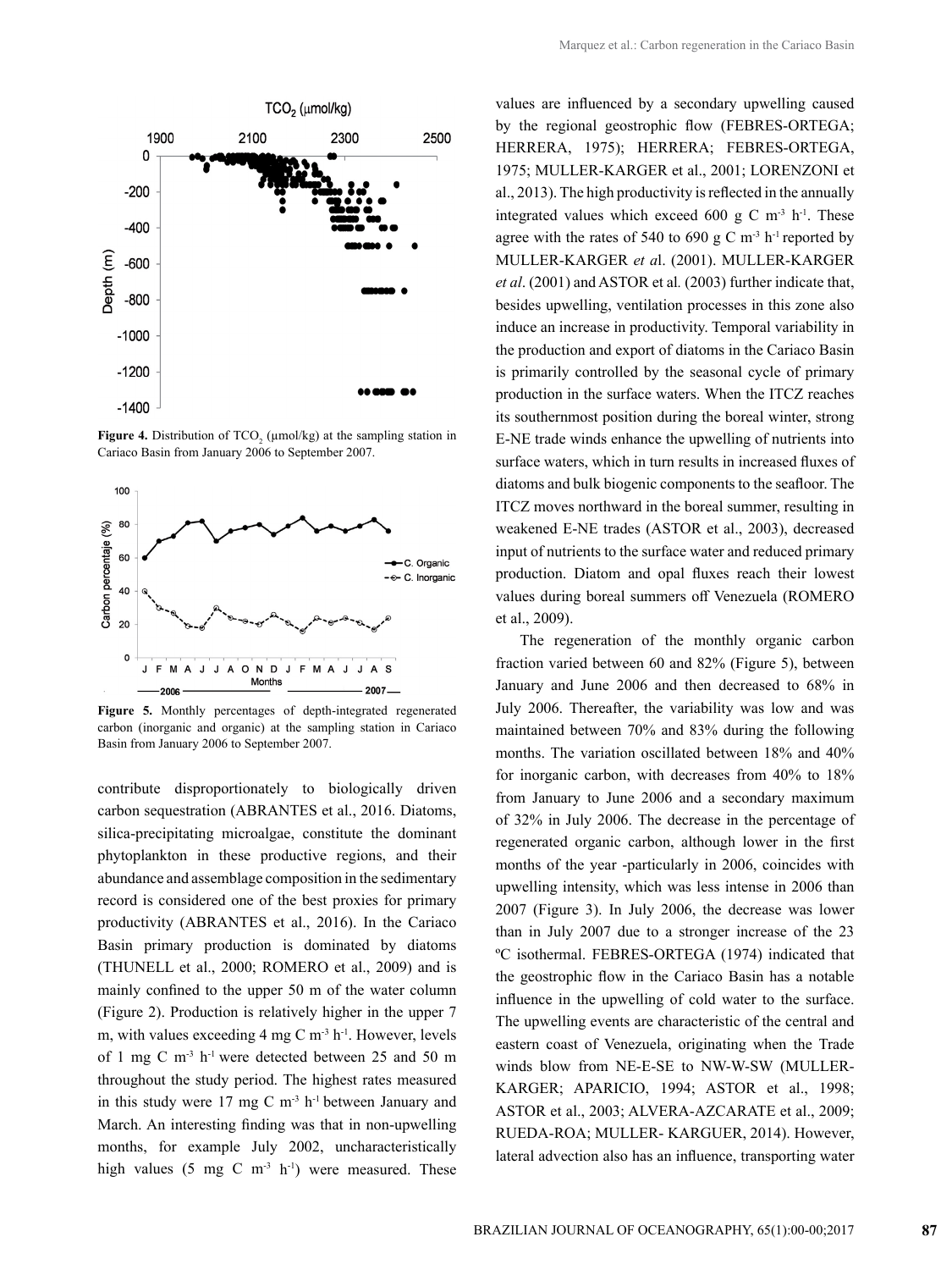

**Figure 4.** Distribution of  $TCO<sub>2</sub>$  ( $\mu$ mol/kg) at the sampling station in Cariaco Basin from January 2006 to September 2007.



**Figure 5.** Monthly percentages of depth-integrated regenerated carbon (inorganic and organic) at the sampling station in Cariaco Basin from January 2006 to September 2007.

contribute disproportionately to biologically driven carbon sequestration (ABRANTES et al., 2016. Diatoms, silica-precipitating microalgae, constitute the dominant phytoplankton in these productive regions, and their abundance and assemblage composition in the sedimentary record is considered one of the best proxies for primary productivity (ABRANTES et al., 2016). In the Cariaco Basin primary production is dominated by diatoms (THUNELL et al., 2000; ROMERO et al., 2009) and is mainly confined to the upper 50 m of the water column (Figure 2). Production is relatively higher in the upper 7 m, with values exceeding  $4 \text{ mg C m}^{-3} \text{ h}^{-1}$ . However, levels of 1 mg C m-3 h-1 were detected between 25 and 50 m throughout the study period. The highest rates measured in this study were  $17 \text{ mg C m}^{-3}$  h<sup>-1</sup> between January and March. An interesting finding was that in non-upwelling months, for example July 2002, uncharacteristically high values (5 mg C m<sup>-3</sup> h<sup>-1</sup>) were measured. These

values are influenced by a secondary upwelling caused by the regional geostrophic flow (FEBRES-ORTEGA; HERRERA, 1975); HERRERA; FEBRES-ORTEGA, 1975; MULLER-KARGER et al., 2001; LORENZONI et al., 2013). The high productivity is reflected in the annually integrated values which exceed 600 g C m<sup>-3</sup> h<sup>-1</sup>. These agree with the rates of 540 to 690 g C  $\mathrm{m}^3$  h<sup>-1</sup> reported by MULLER-KARGER *et a*l. (2001). MULLER-KARGER *et al*. (2001) and ASTOR et al*.* (2003) further indicate that, besides upwelling, ventilation processes in this zone also induce an increase in productivity. Temporal variability in the production and export of diatoms in the Cariaco Basin is primarily controlled by the seasonal cycle of primary production in the surface waters. When the ITCZ reaches its southernmost position during the boreal winter, strong E-NE trade winds enhance the upwelling of nutrients into surface waters, which in turn results in increased fluxes of diatoms and bulk biogenic components to the seafloor. The ITCZ moves northward in the boreal summer, resulting in weakened E-NE trades (ASTOR et al., 2003), decreased input of nutrients to the surface water and reduced primary production. Diatom and opal fluxes reach their lowest values during boreal summers off Venezuela (ROMERO et al., 2009).

The regeneration of the monthly organic carbon fraction varied between 60 and 82% (Figure 5), between January and June 2006 and then decreased to 68% in July 2006. Thereafter, the variability was low and was maintained between 70% and 83% during the following months. The variation oscillated between 18% and 40% for inorganic carbon, with decreases from 40% to 18% from January to June 2006 and a secondary maximum of 32% in July 2006. The decrease in the percentage of regenerated organic carbon, although lower in the first months of the year -particularly in 2006, coincides with upwelling intensity, which was less intense in 2006 than 2007 (Figure 3). In July 2006, the decrease was lower than in July 2007 due to a stronger increase of the 23 ºC isothermal. FEBRES-ORTEGA (1974) indicated that the geostrophic flow in the Cariaco Basin has a notable influence in the upwelling of cold water to the surface. The upwelling events are characteristic of the central and eastern coast of Venezuela, originating when the Trade winds blow from NE-E-SE to NW-W-SW (MULLER-KARGER; APARICIO, 1994; ASTOR et al., 1998; ASTOR et al., 2003; ALVERA-AZCARATE et al., 2009; RUEDA-ROA; MULLER- KARGUER, 2014). However, lateral advection also has an influence, transporting water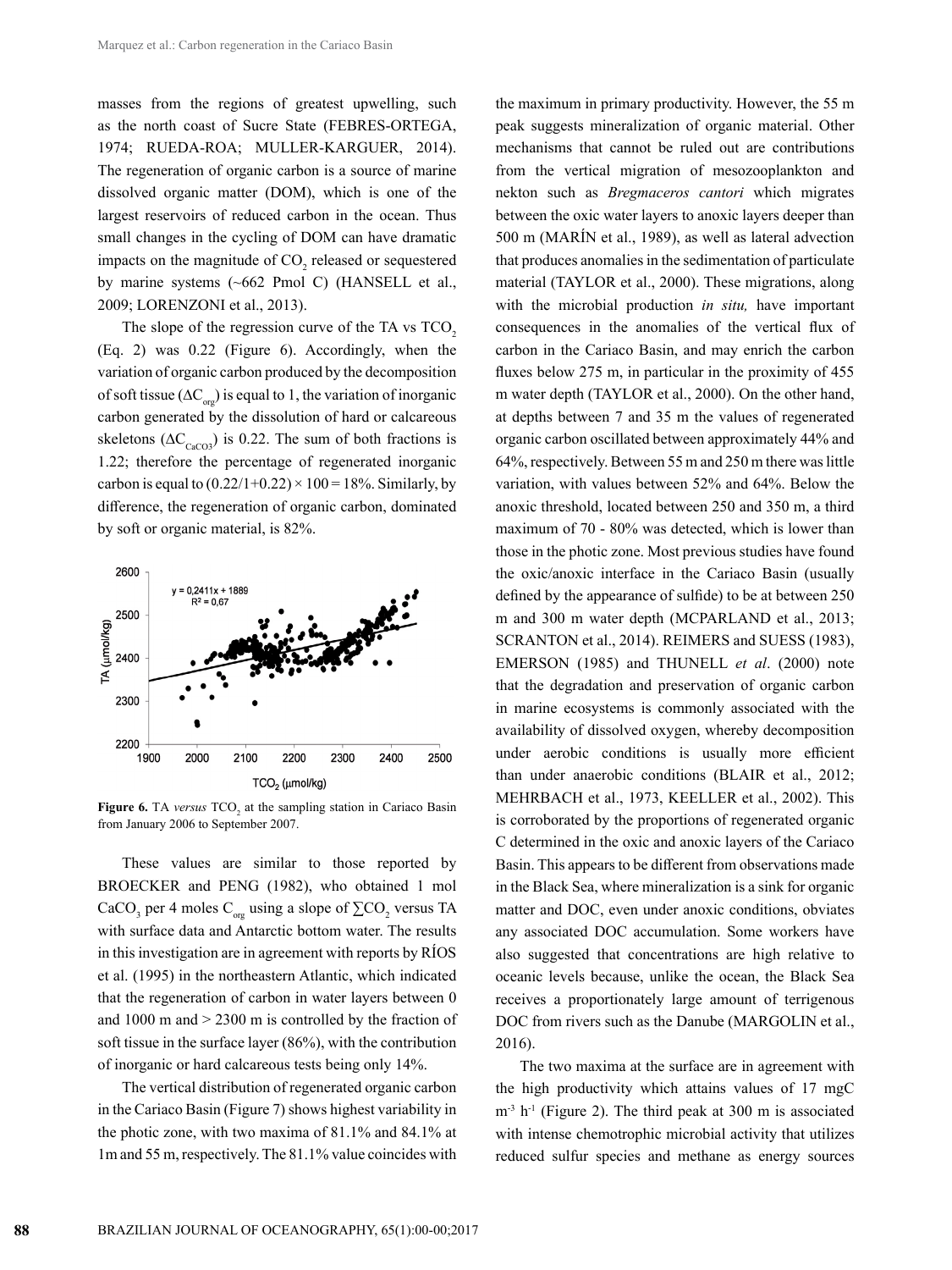masses from the regions of greatest upwelling, such as the north coast of Sucre State (FEBRES-ORTEGA, 1974; RUEDA-ROA; MULLER-KARGUER, 2014). The regeneration of organic carbon is a source of marine dissolved organic matter (DOM), which is one of the largest reservoirs of reduced carbon in the ocean. Thus small changes in the cycling of DOM can have dramatic impacts on the magnitude of  $CO_2$  released or sequestered by marine systems (~662 Pmol C) (HANSELL et al., 2009; LORENZONI et al., 2013).

The slope of the regression curve of the TA vs TCO<sub>2</sub> (Eq. 2) was 0.22 (Figure 6). Accordingly, when the variation of organic carbon produced by the decomposition of soft tissue ( $\Delta C_{\text{on}}$ ) is equal to 1, the variation of inorganic carbon generated by the dissolution of hard or calcareous skeletons ( $\Delta C_{\text{CaCO3}}$ ) is 0.22. The sum of both fractions is 1.22; therefore the percentage of regenerated inorganic carbon is equal to  $(0.22/1+0.22) \times 100 = 18\%$ . Similarly, by difference, the regeneration of organic carbon, dominated by soft or organic material, is 82%.



**Figure 6.** TA *versus* TCO<sub>2</sub> at the sampling station in Cariaco Basin from January 2006 to September 2007.

These values are similar to those reported by BROECKER and PENG (1982), who obtained 1 mol CaCO<sub>3</sub> per 4 moles C<sub>org</sub> using a slope of  $\sum CO_2$  versus TA with surface data and Antarctic bottom water. The results in this investigation are in agreement with reports by RÍOS et al. (1995) in the northeastern Atlantic, which indicated that the regeneration of carbon in water layers between 0 and 1000 m and > 2300 m is controlled by the fraction of soft tissue in the surface layer (86%), with the contribution of inorganic or hard calcareous tests being only 14%.

The vertical distribution of regenerated organic carbon in the Cariaco Basin (Figure 7) shows highest variability in the photic zone, with two maxima of 81.1% and 84.1% at 1m and 55 m, respectively. The 81.1% value coincides with

the maximum in primary productivity. However, the 55 m peak suggests mineralization of organic material. Other mechanisms that cannot be ruled out are contributions from the vertical migration of mesozooplankton and nekton such as *Bregmaceros cantori* which migrates between the oxic water layers to anoxic layers deeper than 500 m (MARÍN et al., 1989), as well as lateral advection that produces anomalies in the sedimentation of particulate material (TAYLOR et al., 2000). These migrations, along with the microbial production *in situ,* have important consequences in the anomalies of the vertical flux of carbon in the Cariaco Basin, and may enrich the carbon fluxes below 275 m, in particular in the proximity of 455 m water depth (TAYLOR et al., 2000). On the other hand, at depths between 7 and 35 m the values of regenerated organic carbon oscillated between approximately 44% and 64%, respectively. Between 55 m and 250 m there was little variation, with values between 52% and 64%. Below the anoxic threshold, located between 250 and 350 m, a third maximum of 70 - 80% was detected, which is lower than those in the photic zone. Most previous studies have found the oxic/anoxic interface in the Cariaco Basin (usually defined by the appearance of sulfide) to be at between 250 m and 300 m water depth (MCPARLAND et al., 2013; SCRANTON et al., 2014). REIMERS and SUESS (1983), EMERSON (1985) and THUNELL *et al*. (2000) note that the degradation and preservation of organic carbon in marine ecosystems is commonly associated with the availability of dissolved oxygen, whereby decomposition under aerobic conditions is usually more efficient than under anaerobic conditions (BLAIR et al., 2012; MEHRBACH et al., 1973, KEELLER et al., 2002). This is corroborated by the proportions of regenerated organic C determined in the oxic and anoxic layers of the Cariaco Basin. This appears to be different from observations made in the Black Sea, where mineralization is a sink for organic matter and DOC, even under anoxic conditions, obviates any associated DOC accumulation. Some workers have also suggested that concentrations are high relative to oceanic levels because, unlike the ocean, the Black Sea receives a proportionately large amount of terrigenous DOC from rivers such as the Danube (MARGOLIN et al., 2016).

The two maxima at the surface are in agreement with the high productivity which attains values of 17 mgC  $m<sup>-3</sup> h<sup>-1</sup>$  (Figure 2). The third peak at 300 m is associated with intense chemotrophic microbial activity that utilizes reduced sulfur species and methane as energy sources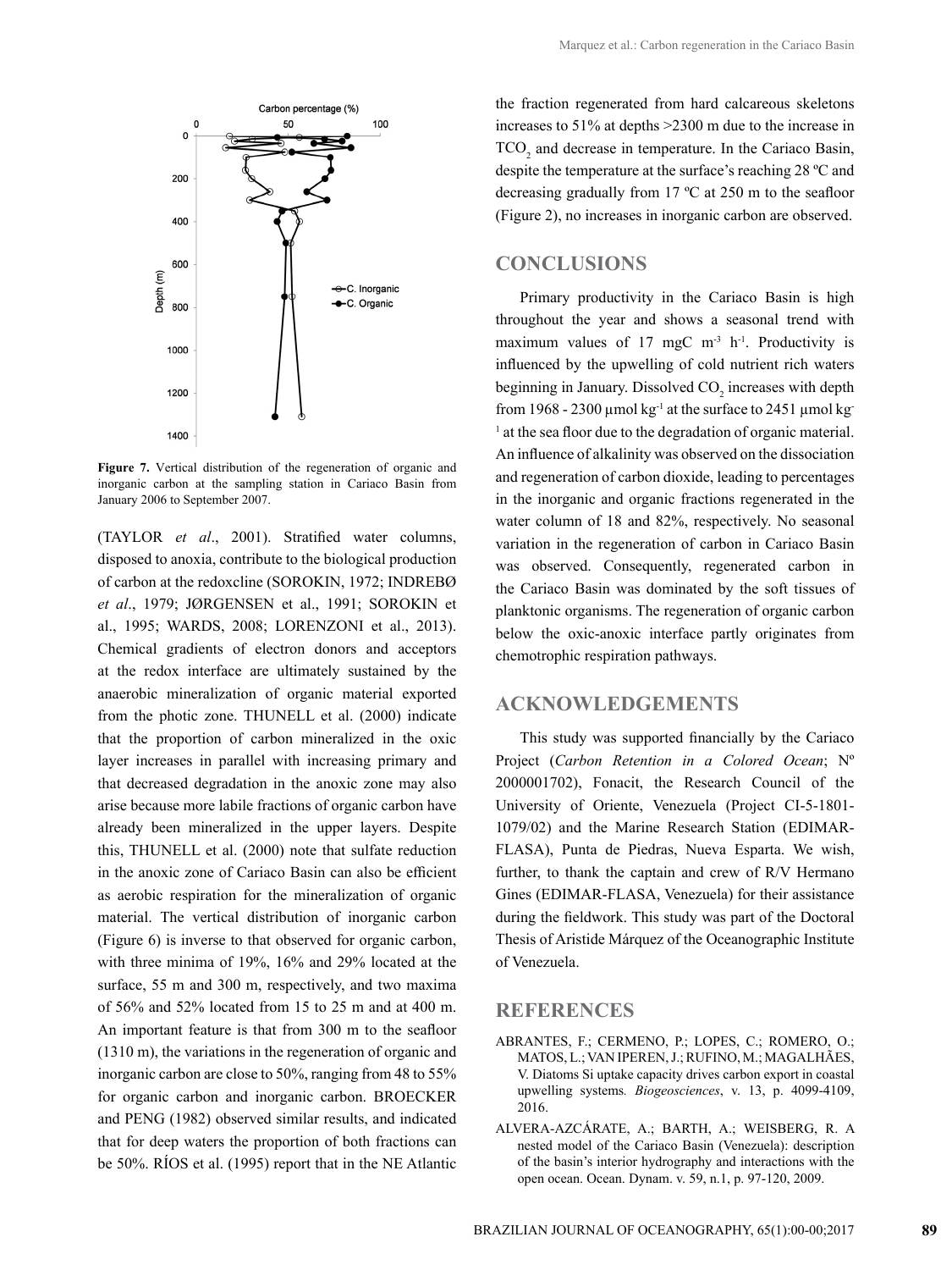

**Figure 7.** Vertical distribution of the regeneration of organic and inorganic carbon at the sampling station in Cariaco Basin from January 2006 to September 2007.

(TAYLOR *et al*., 2001). Stratified water columns, disposed to anoxia, contribute to the biological production of carbon at the redoxcline (SOROKIN, 1972; INDREBØ *et al*., 1979; JØRGENSEN et al., 1991; SOROKIN et al., 1995; WARDS, 2008; LORENZONI et al., 2013). Chemical gradients of electron donors and acceptors at the redox interface are ultimately sustained by the anaerobic mineralization of organic material exported from the photic zone. THUNELL et al. (2000) indicate that the proportion of carbon mineralized in the oxic layer increases in parallel with increasing primary and that decreased degradation in the anoxic zone may also arise because more labile fractions of organic carbon have already been mineralized in the upper layers. Despite this, THUNELL et al. (2000) note that sulfate reduction in the anoxic zone of Cariaco Basin can also be efficient as aerobic respiration for the mineralization of organic material. The vertical distribution of inorganic carbon (Figure 6) is inverse to that observed for organic carbon, with three minima of 19%, 16% and 29% located at the surface, 55 m and 300 m, respectively, and two maxima of 56% and 52% located from 15 to 25 m and at 400 m. An important feature is that from 300 m to the seafloor (1310 m), the variations in the regeneration of organic and inorganic carbon are close to 50%, ranging from 48 to 55% for organic carbon and inorganic carbon. BROECKER and PENG (1982) observed similar results, and indicated that for deep waters the proportion of both fractions can be 50%. RÍOS et al. (1995) report that in the NE Atlantic

the fraction regenerated from hard calcareous skeletons increases to 51% at depths >2300 m due to the increase in  $TCO<sub>2</sub>$  and decrease in temperature. In the Cariaco Basin, despite the temperature at the surface's reaching 28 ºC and decreasing gradually from 17 ºC at 250 m to the seafloor (Figure 2), no increases in inorganic carbon are observed.

# **CONCLUSIONS**

Primary productivity in the Cariaco Basin is high throughout the year and shows a seasonal trend with maximum values of 17 mgC  $m<sup>-3</sup> h<sup>-1</sup>$ . Productivity is influenced by the upwelling of cold nutrient rich waters beginning in January. Dissolved  $CO_2$  increases with depth from 1968 - 2300 µmol  $kg^{-1}$  at the surface to 2451 µmol kg <sup>1</sup> at the sea floor due to the degradation of organic material. An influence of alkalinity was observed on the dissociation and regeneration of carbon dioxide, leading to percentages in the inorganic and organic fractions regenerated in the water column of 18 and 82%, respectively. No seasonal variation in the regeneration of carbon in Cariaco Basin was observed. Consequently, regenerated carbon in the Cariaco Basin was dominated by the soft tissues of planktonic organisms. The regeneration of organic carbon below the oxic-anoxic interface partly originates from chemotrophic respiration pathways.

## **ACKNOWLEDGEMENTS**

This study was supported financially by the Cariaco Project (*Carbon Retention in a Colored Ocean*; Nº 2000001702), Fonacit, the Research Council of the University of Oriente, Venezuela (Project CI-5-1801- 1079/02) and the Marine Research Station (EDIMAR-FLASA), Punta de Piedras, Nueva Esparta. We wish, further, to thank the captain and crew of R/V Hermano Gines (EDIMAR-FLASA, Venezuela) for their assistance during the fieldwork. This study was part of the Doctoral Thesis of Aristide Márquez of the Oceanographic Institute of Venezuela.

## **REFERENCES**

- ABRANTES, F.; CERMENO, P.; LOPES, C.; ROMERO, O.; MATOS, L.; VAN IPEREN, J.; RUFINO, M.; MAGALHÃES, V. Diatoms Si uptake capacity drives carbon export in coastal upwelling systems*. Biogeosciences*, v. 13, p. 4099-4109, 2016.
- ALVERA-AZCÁRATE, A.; BARTH, A.; WEISBERG, R. A nested model of the Cariaco Basin (Venezuela): description of the basin's interior hydrography and interactions with the open ocean. Ocean. Dynam. v. 59, n.1, p. 97-120, 2009.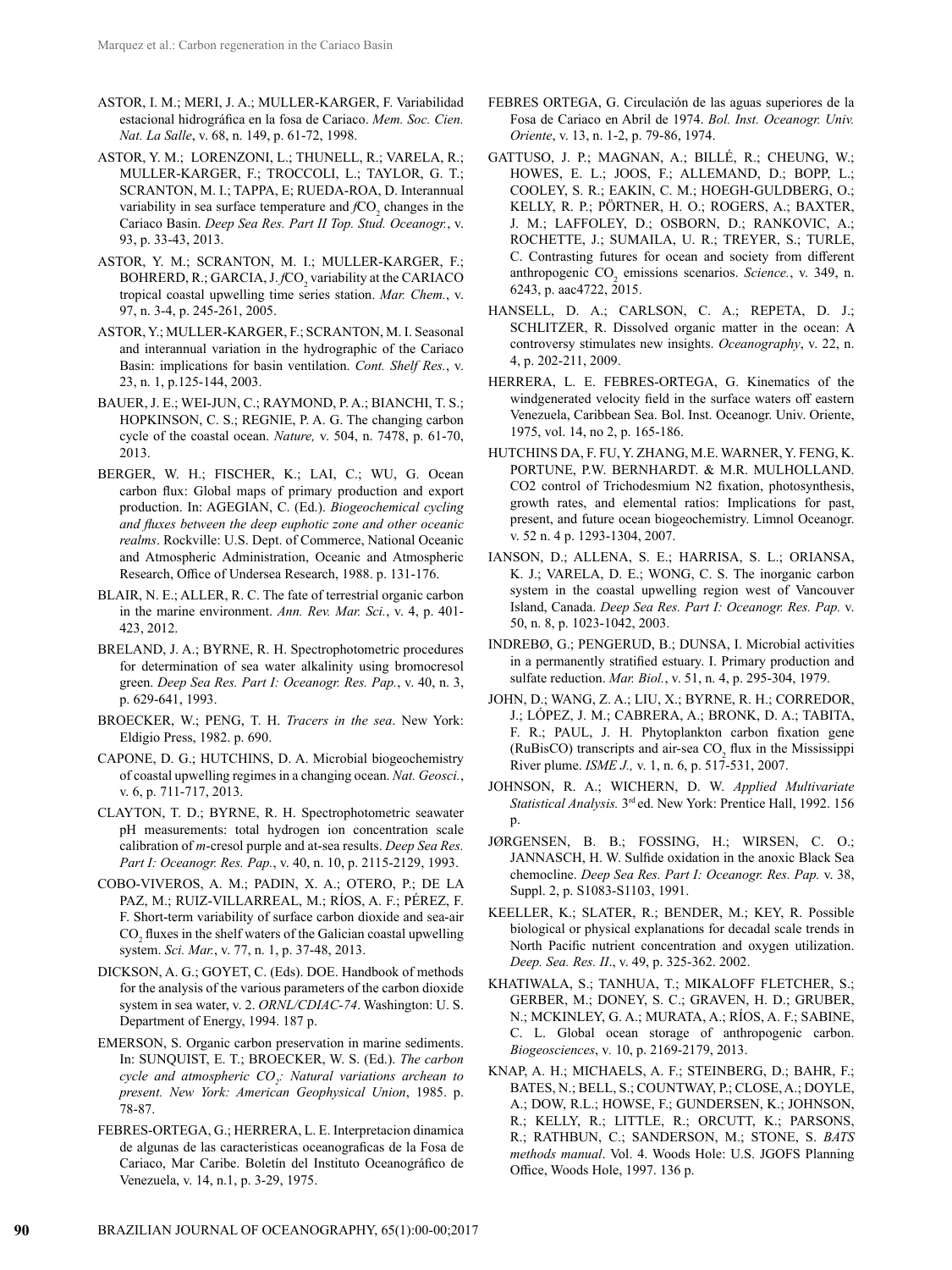- ASTOR, I. M.; MERI, J. A.; MULLER-KARGER, F. Variabilidad estacional hidrográfica en la fosa de Cariaco. *Mem. Soc. Cien. Nat. La Salle*, v. 68, n. 149, p. 61-72, 1998.
- ASTOR, Y. M.; LORENZONI, L.; THUNELL, R.; VARELA, R.; MULLER-KARGER, F.; TROCCOLI, L.; TAYLOR, G. T.; SCRANTON, M. I.; TAPPA, E; RUEDA-ROA, D. Interannual variability in sea surface temperature and  $fCO<sub>2</sub>$  changes in the Cariaco Basin. *Deep Sea Res. Part II Top. Stud. Oceanogr.*, v. 93, p. 33-43, 2013.
- ASTOR, Y. M.; SCRANTON, M. I.; MULLER-KARGER, F.;  $BOHRERD, R.; GARCH, J.fCO<sub>2</sub>$  variability at the CARIACO tropical coastal upwelling time series station. *Mar. Chem.*, v. 97, n. 3-4, p. 245-261, 2005.
- ASTOR, Y.; MULLER-KARGER, F.; SCRANTON, M. I. Seasonal and interannual variation in the hydrographic of the Cariaco Basin: implications for basin ventilation. *Cont. Shelf Res.*, v. 23, n. 1, p.125-144, 2003.
- BAUER, J. E.; WEI-JUN, C.; RAYMOND, P. A.; BIANCHI, T. S.; HOPKINSON, C. S.; REGNIE, P. A. G. The changing carbon cycle of the coastal ocean. *Nature,* v. 504, n. 7478, p. 61-70, 2013.
- BERGER, W. H.; FISCHER, K.; LAI, C.; WU, G. Ocean carbon flux: Global maps of primary production and export production. In: AGEGIAN, C. (Ed.). *Biogeochemical cycling and fluxes between the deep euphotic zone and other oceanic realms*. Rockville: U.S. Dept. of Commerce, National Oceanic and Atmospheric Administration, Oceanic and Atmospheric Research, Office of Undersea Research, 1988. p. 131-176.
- BLAIR, N. E.; ALLER, R. C. The fate of terrestrial organic carbon in the marine environment. *Ann. Rev. Mar. Sci.*, v. 4, p. 401- 423, 2012.
- BRELAND, J. A.; BYRNE, R. H. Spectrophotometric procedures for determination of sea water alkalinity using bromocresol green. *Deep Sea Res. Part I: Oceanogr. Res. Pap.*, v. 40, n. 3, p. 629-641, 1993.
- BROECKER, W.; PENG, T. H. *Tracers in the sea*. New York: Eldigio Press, 1982. p. 690.
- CAPONE, D. G.; HUTCHINS, D. A. Microbial biogeochemistry of coastal upwelling regimes in a changing ocean. *Nat. Geosci.*, v. 6, p. 711-717, 2013.
- CLAYTON, T. D.; BYRNE, R. H. Spectrophotometric seawater pH measurements: total hydrogen ion concentration scale calibration of *m*-cresol purple and at-sea results. *Deep Sea Res. Part I: Oceanogr. Res. Pap.*, v. 40, n. 10, p. 2115-2129, 1993.
- COBO-VIVEROS, A. M.; PADIN, X. A.; OTERO, P.; DE LA PAZ, M.; RUIZ-VILLARREAL, M.; RÍOS, A. F.; PÉREZ, F. F. Short-term variability of surface carbon dioxide and sea-air  $\mathrm{CO}_2$  fluxes in the shelf waters of the Galician coastal upwelling system. *Sci. Mar.*, v. 77, n. 1, p. 37-48, 2013.
- DICKSON, A. G.; GOYET, C. (Eds). DOE. Handbook of methods for the analysis of the various parameters of the carbon dioxide system in sea water, v. 2. *ORNL/CDIAC-74*. Washington: U. S. Department of Energy, 1994. 187 p.
- EMERSON, S. Organic carbon preservation in marine sediments. In: SUNQUIST, E. T.; BROECKER, W. S. (Ed.). *The carbon cycle and atmospheric CO2 : Natural variations archean to present. New York: American Geophysical Union*, 1985. p. 78-87.
- FEBRES-ORTEGA, G.; HERRERA, L. E. Interpretacion dinamica de algunas de las caracteristicas oceanograficas de la Fosa de Cariaco, Mar Caribe. Boletín del Instituto Oceanográfico de Venezuela, v. 14, n.1, p. 3-29, 1975.
- FEBRES ORTEGA, G. Circulación de las aguas superiores de la Fosa de Cariaco en Abril de 1974. *Bol. Inst. Oceanogr. Univ. Oriente*, v. 13, n. 1-2, p. 79-86, 1974.
- GATTUSO, J. P.; MAGNAN, A.; BILLÉ, R.; CHEUNG, W.; HOWES, E. L.; JOOS, F.; ALLEMAND, D.; BOPP, L.; COOLEY, S. R.; EAKIN, C. M.; HOEGH-GULDBERG, O.; KELLY, R. P.; PÖRTNER, H. O.; ROGERS, A.; BAXTER, J. M.; LAFFOLEY, D.; OSBORN, D.; RANKOVIC, A.; ROCHETTE, J.; SUMAILA, U. R.; TREYER, S.; TURLE, C. Contrasting futures for ocean and society from different anthropogenic  $CO_2$  emissions scenarios. *Science*., v. 349, n. 6243, p. aac4722, 2015.
- HANSELL, D. A.; CARLSON, C. A.; REPETA, D. J.; SCHLITZER, R. Dissolved organic matter in the ocean: A controversy stimulates new insights. *Oceanography*, v. 22, n. 4, p. 202-211, 2009.
- HERRERA, L. E. FEBRES-ORTEGA, G. Kinematics of the windgenerated velocity field in the surface waters off eastern Venezuela, Caribbean Sea. Bol. Inst. Oceanogr. Univ. Oriente, 1975, vol. 14, no 2, p. 165-186.
- HUTCHINS DA, F. FU, Y. ZHANG, M.E. WARNER, Y. FENG, K. PORTUNE, P.W. BERNHARDT. & M.R. MULHOLLAND. CO2 control of Trichodesmium N2 fixation, photosynthesis, growth rates, and elemental ratios: Implications for past, present, and future ocean biogeochemistry. Limnol Oceanogr. v. 52 n. 4 p. 1293-1304, 2007.
- IANSON, D.; ALLENA, S. E.; HARRISA, S. L.; ORIANSA, K. J.; VARELA, D. E.; WONG, C. S. The inorganic carbon system in the coastal upwelling region west of Vancouver Island, Canada. *Deep Sea Res. Part I: Oceanogr. Res. Pap.* v. 50, n. 8, p. 1023-1042, 2003.
- INDREBØ, G.; PENGERUD, B.; DUNSA, I. Microbial activities in a permanently stratified estuary. I. Primary production and sulfate reduction. *Mar. Biol.*, v. 51, n. 4, p. 295-304, 1979.
- JOHN, D.; WANG, Z. A.; LIU, X.; BYRNE, R. H.; CORREDOR, J.; LÓPEZ, J. M.; CABRERA, A.; BRONK, D. A.; TABITA, F. R.; PAUL, J. H. Phytoplankton carbon fixation gene (RuBisCO) transcripts and air-sea  $CO_2$  flux in the Mississippi River plume. *ISME J.,* v. 1, n. 6, p. 517-531, 2007.
- JOHNSON, R. A.; WICHERN, D. W. *Applied Multivariate Statistical Analysis.* 3rd ed. New York: Prentice Hall, 1992. 156 p.
- JØRGENSEN, B. B.; FOSSING, H.; WIRSEN, C. O.; JANNASCH, H. W. Sulfide oxidation in the anoxic Black Sea chemocline. *Deep Sea Res. Part I: Oceanogr. Res. Pap.* v. 38, Suppl. 2, p. S1083-S1103, 1991.
- KEELLER, K.; SLATER, R.; BENDER, M.; KEY, R. Possible biological or physical explanations for decadal scale trends in North Pacific nutrient concentration and oxygen utilization. *Deep. Sea. Res. II*., v. 49, p. 325-362. 2002.
- KHATIWALA, S.; TANHUA, T.; MIKALOFF FLETCHER, S.; GERBER, M.; DONEY, S. C.; GRAVEN, H. D.; GRUBER, N.; MCKINLEY, G. A.; MURATA, A.; RÍOS, A. F.; SABINE, C. L. Global ocean storage of anthropogenic carbon. *Biogeosciences*, v*.* 10, p. 2169-2179, 2013.
- KNAP, A. H.; MICHAELS, A. F.; STEINBERG, D.; BAHR, F.; BATES, N.; BELL, S.; COUNTWAY, P.; CLOSE, A.; DOYLE, A.; DOW, R.L.; HOWSE, F.; GUNDERSEN, K.; JOHNSON, R.; KELLY, R.; LITTLE, R.; ORCUTT, K.; PARSONS, R.; RATHBUN, C.; SANDERSON, M.; STONE, S. *BATS methods manual*. Vol. 4. Woods Hole: U.S. JGOFS Planning Office, Woods Hole, 1997. 136 p.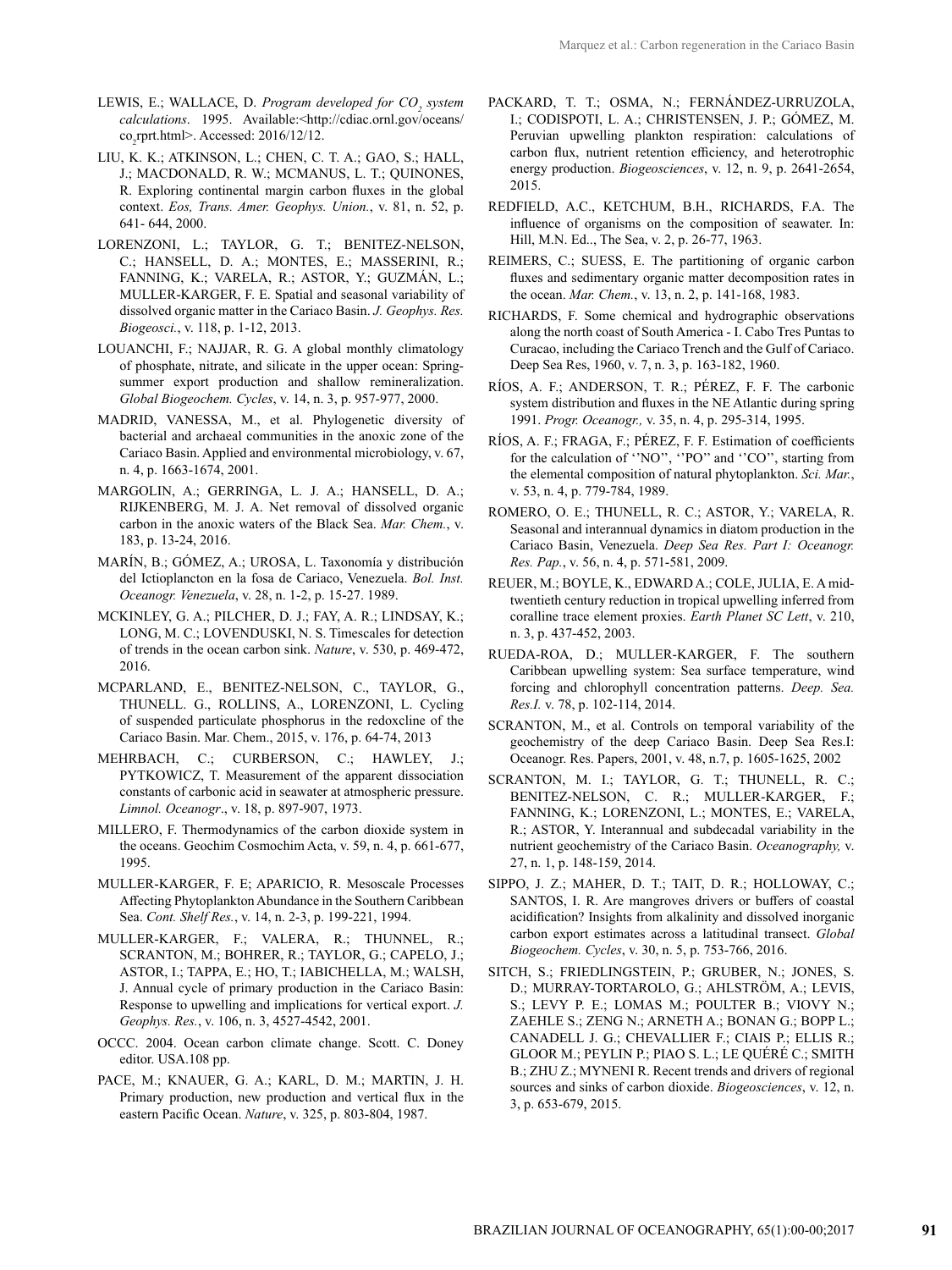- [LEWIS](http://cdiac.ornl.gov/oceans/lewis.html), E.; [WALLACE](http://cdiac.ornl.gov/oceans/wallace.html), D. *Program developed for CO<sub>2</sub>* system *calculations*. 1995. Available:[<http://cdiac.ornl.gov/oceans/](http://cdiac.ornl.gov/oceans/co2rprt.html)  $\text{co}_{2}$ [rprt.html>](http://cdiac.ornl.gov/oceans/co2rprt.html). Accessed: 2016/12/12.
- LIU, K. K.; ATKINSON, L.; CHEN, C. T. A.; GAO, S.; HALL, J.; MACDONALD, R. W.; MCMANUS, L. T.; QUINONES, R. Exploring continental margin carbon fluxes in the global context. *Eos, Trans. Amer. Geophys. Union.*, v. 81, n. 52, p. 641- 644, 2000.
- LORENZONI, L.; TAYLOR, G. T.; BENITEZ-NELSON, C.; HANSELL, D. A.; MONTES, E.; MASSERINI, R.; FANNING, K.; VARELA, R.; ASTOR, Y.; GUZMÁN, L.; MULLER-KARGER, F. E. Spatial and seasonal variability of dissolved organic matter in the Cariaco Basin. *J. Geophys. Res. Biogeosci.*, v. 118, p. 1-12, 2013.
- LOUANCHI, F.; NAJJAR, R. G. A global monthly climatology of phosphate, nitrate, and silicate in the upper ocean: Springsummer export production and shallow remineralization. *Global Biogeochem. Cycles*, v. 14, n. 3, p. 957-977, 2000.
- MADRID, VANESSA, M., et al. Phylogenetic diversity of bacterial and archaeal communities in the anoxic zone of the Cariaco Basin. Applied and environmental microbiology, v. 67, n. 4, p. 1663-1674, 2001.
- MARGOLIN, A.; GERRINGA, L. J. A.; HANSELL, D. A.; RIJKENBERG, M. J. A. Net removal of dissolved organic carbon in the anoxic waters of the Black Sea. *Mar. Chem.*, v. 183, p. 13-24, 2016.
- MARÍN, B.; GÓMEZ, A.; UROSA, L. Taxonomía y distribución del Ictioplancton en la fosa de Cariaco, Venezuela. *Bol. Inst. Oceanogr. Venezuela*, v. 28, n. 1-2, p. 15-27. 1989.
- MCKINLEY, G. A.; PILCHER, D. J.; FAY, A. R.; LINDSAY, K.; LONG, M. C.; LOVENDUSKI, N. S. Timescales for detection of trends in the ocean carbon sink. *Nature*, v. 530, p. 469-472, 2016.
- MCPARLAND, E., BENITEZ-NELSON, C., TAYLOR, G., THUNELL. G., ROLLINS, A., LORENZONI, L. Cycling of suspended particulate phosphorus in the redoxcline of the Cariaco Basin. Mar. Chem., 2015, v. 176, p. 64-74, 2013
- MEHRBACH, C.; CURBERSON, C.; HAWLEY, J.; PYTKOWICZ, T. Measurement of the apparent dissociation constants of carbonic acid in seawater at atmospheric pressure. *Limnol. Oceanogr*., v. 18, p. 897-907, 1973.
- MILLERO, F. Thermodynamics of the carbon dioxide system in the oceans. Geochim Cosmochim Acta, v. 59, n. 4, p. 661-677, 1995.
- MULLER-KARGER, F. E; APARICIO, R. Mesoscale Processes Affecting Phytoplankton Abundance in the Southern Caribbean Sea. *Cont. Shelf Res.*, v. 14, n. 2-3, p. 199-221, 1994.
- MULLER-KARGER, F.; VALERA, R.; THUNNEL, R.; SCRANTON, M.; BOHRER, R.; TAYLOR, G.; CAPELO, J.; ASTOR, I.; TAPPA, E.; HO, T.; IABICHELLA, M.; WALSH, J. Annual cycle of primary production in the Cariaco Basin: Response to upwelling and implications for vertical export. *J. Geophys. Res.*, v. 106, n. 3, 4527-4542, 2001.
- OCCC. 2004. Ocean carbon climate change. Scott. C. Doney editor. USA.108 pp.
- PACE, M.; KNAUER, G. A.; KARL, D. M.; MARTIN, J. H. Primary production, new production and vertical flux in the eastern Pacific Ocean. *Nature*, v. 325, p. 803-804, 1987.
- PACKARD, T. T.; OSMA, N.; FERNÁNDEZ-URRUZOLA, I.; CODISPOTI, L. A.; CHRISTENSEN, J. P.; GÓMEZ, M. Peruvian upwelling plankton respiration: calculations of carbon flux, nutrient retention efficiency, and heterotrophic energy production. *Biogeosciences*, v. 12, n. 9, p. 2641-2654, 2015.
- REDFIELD, A.C., KETCHUM, B.H., RICHARDS, F.A. The influence of organisms on the composition of seawater. In: Hill, M.N. Ed.., The Sea, v. 2, p. 26-77, 1963.
- REIMERS, C.; SUESS, E. The partitioning of organic carbon fluxes and sedimentary organic matter decomposition rates in the ocean. *Mar. Chem.*, v. 13, n. 2, p. 141-168, 1983.
- RICHARDS, F. Some chemical and hydrographic observations along the north coast of South America - I. Cabo Tres Puntas to Curacao, including the Cariaco Trench and the Gulf of Cariaco. Deep Sea Res, 1960, v. 7, n. 3, p. 163-182, 1960.
- RÍOS, A. F.; ANDERSON, T. R.; PÉREZ, F. F. The carbonic system distribution and fluxes in the NE Atlantic during spring 1991. *Progr. Oceanogr.,* v. 35, n. 4, p. 295-314, 1995.
- RÍOS, A. F.; FRAGA, F.; PÉREZ, F. F. Estimation of coefficients for the calculation of ''NO'', ''PO'' and ''CO'', starting from the elemental composition of natural phytoplankton. *Sci. Mar.*, v. 53, n. 4, p. 779-784, 1989.
- ROMERO, O. E.; THUNELL, R. C.; ASTOR, Y.; VARELA, R. Seasonal and interannual dynamics in diatom production in the Cariaco Basin, Venezuela. *Deep Sea Res. Part I: Oceanogr. Res. Pap.*, v. 56, n. 4, p. 571-581, 2009.
- REUER, M.; BOYLE, K., EDWARD A.; COLE, JULIA, E. A midtwentieth century reduction in tropical upwelling inferred from coralline trace element proxies. *Earth Planet SC Lett*, v. 210, n. 3, p. 437-452, 2003.
- RUEDA-ROA, D.; MULLER-KARGER, F. The southern Caribbean upwelling system: Sea surface temperature, wind forcing and chlorophyll concentration patterns. *[Deep. Sea.](http://www.sciencedirect.com/science/journal/09670637) [Res.I.](http://www.sciencedirect.com/science/journal/09670637)* [v. 78,](http://www.sciencedirect.com/science/journal/09670637/78/supp/C) p. 102-114, 2014.
- SCRANTON, M., et al. Controls on temporal variability of the geochemistry of the deep Cariaco Basin. Deep Sea Res.I: Oceanogr. Res. Papers, 2001, v. 48, n.7, p. 1605-1625, 2002
- SCRANTON, M. I.; TAYLOR, G. T.; THUNELL, R. C.; BENITEZ-NELSON, C. R.; MULLER-KARGER, F.; FANNING, K.; LORENZONI, L.; MONTES, E.; VARELA, R.; ASTOR, Y. Interannual and subdecadal variability in the nutrient geochemistry of the Cariaco Basin. *Oceanography,* v. 27, n. 1, p. 148-159, 2014.
- SIPPO, J. Z.; MAHER, D. T.; TAIT, D. R.; HOLLOWAY, C.; SANTOS, I. R. Are mangroves drivers or buffers of coastal acidification? Insights from alkalinity and dissolved inorganic carbon export estimates across a latitudinal transect. *Global Biogeochem. Cycles*, v. 30, n. 5, p. 753-766, 2016.
- SITCH, S.; FRIEDLINGSTEIN, P.; GRUBER, N.; JONES, S. D.; MURRAY-TORTAROLO, G.; AHLSTRÖM, A.; LEVIS, S.; LEVY P. E.; LOMAS M.; POULTER B.; VIOVY N.; ZAEHLE S.; ZENG N.; ARNETH A.; BONAN G.; BOPP L.; CANADELL J. G.; CHEVALLIER F.; CIAIS P.; ELLIS R.; GLOOR M.; PEYLIN P.; PIAO S. L.; LE QUÉRÉ C.; SMITH B.; ZHU Z.; MYNENI R. Recent trends and drivers of regional sources and sinks of carbon dioxide. *Biogeosciences*, v. 12, n. 3, p. 653-679, 2015.